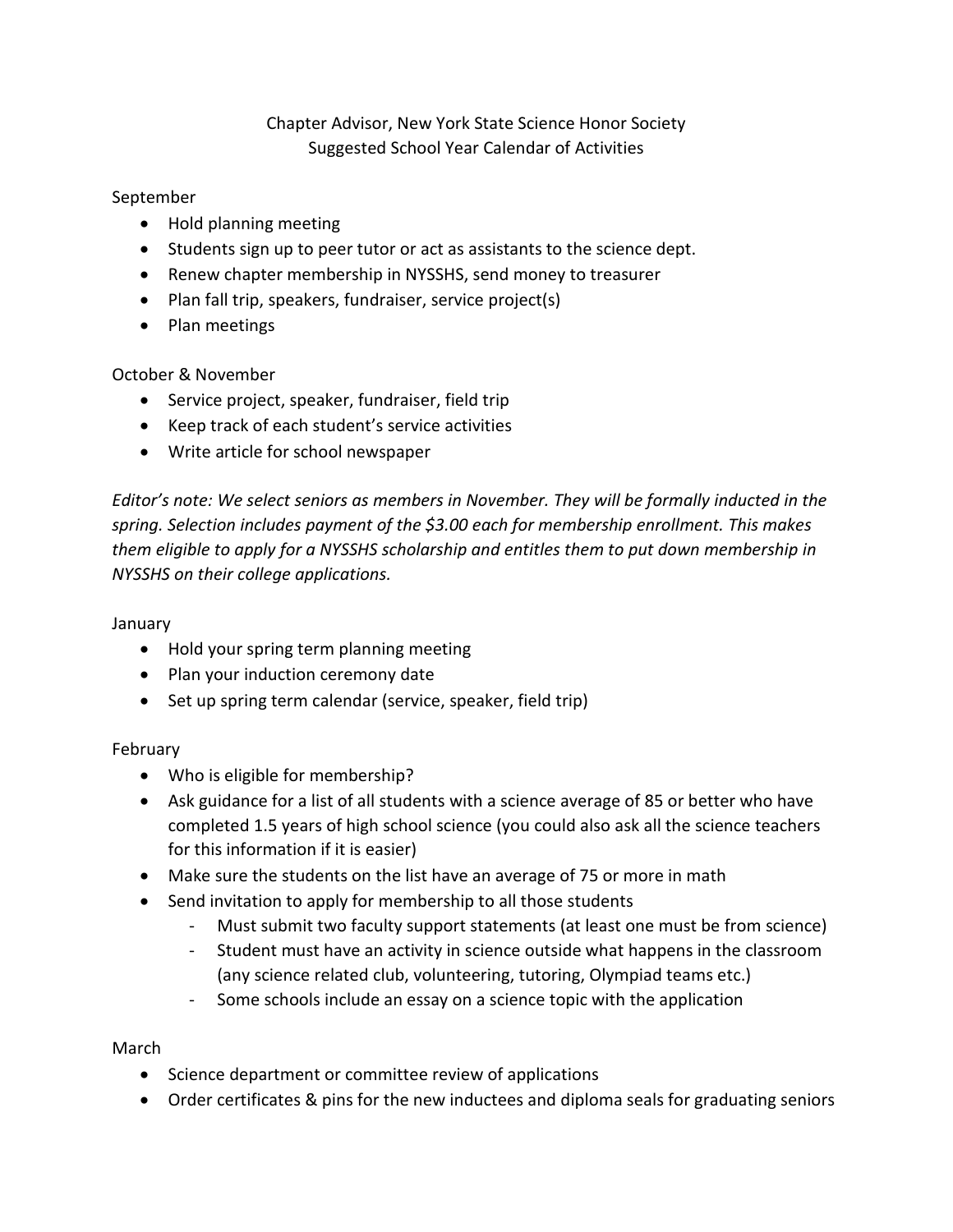# Chapter Advisor, New York State Science Honor Society Suggested School Year Calendar of Activities

### September

- Hold planning meeting
- Students sign up to peer tutor or act as assistants to the science dept.
- Renew chapter membership in NYSSHS, send money to treasurer
- Plan fall trip, speakers, fundraiser, service project(s)
- Plan meetings

# October & November

- Service project, speaker, fundraiser, field trip
- Keep track of each student's service activities
- Write article for school newspaper

*Editor's note: We select seniors as members in November. They will be formally inducted in the spring. Selection includes payment of the \$3.00 each for membership enrollment. This makes them eligible to apply for a NYSSHS scholarship and entitles them to put down membership in NYSSHS on their college applications.*

#### January

- Hold your spring term planning meeting
- Plan your induction ceremony date
- Set up spring term calendar (service, speaker, field trip)

#### February

- Who is eligible for membership?
- Ask guidance for a list of all students with a science average of 85 or better who have completed 1.5 years of high school science (you could also ask all the science teachers for this information if it is easier)
- Make sure the students on the list have an average of 75 or more in math
- Send invitation to apply for membership to all those students
	- Must submit two faculty support statements (at least one must be from science)
	- Student must have an activity in science outside what happens in the classroom (any science related club, volunteering, tutoring, Olympiad teams etc.)
	- Some schools include an essay on a science topic with the application

#### March

- Science department or committee review of applications
- Order certificates & pins for the new inductees and diploma seals for graduating seniors